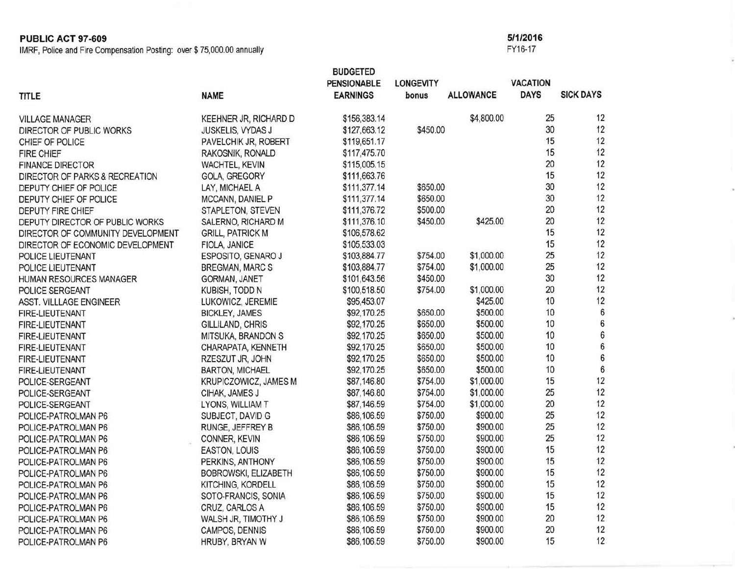**PUBLIC ACT 97-609** 5/1/2016<br>
IMRF, Police and Fire Compensation Posting: over \$75,000.00 annually IMRF, Police and Fire Compensation Posting: over \$ 75,000.00 annually

|                                                                       |                                              | <b>BUDGETED</b>    |                  |                  |                 |                  |
|-----------------------------------------------------------------------|----------------------------------------------|--------------------|------------------|------------------|-----------------|------------------|
|                                                                       |                                              | <b>PENSIONABLE</b> | <b>LONGEVITY</b> |                  | <b>VACATION</b> |                  |
| TITLE                                                                 | <b>NAME</b>                                  | <b>EARNINGS</b>    | bonus            | <b>ALLOWANCE</b> | <b>DAYS</b>     | <b>SICK DAYS</b> |
| <b>VILLAGE MANAGER</b>                                                | KEEHNER JR, RICHARD D                        | \$156,383.14       |                  | \$4,800.00       | 25              | 12               |
| DIRECTOR OF PUBLIC WORKS                                              | JUSKELIS, VYDAS J                            | \$127,663.12       | \$450.00         |                  | 30              | 12               |
| CHIEF OF POLICE                                                       | PAVELCHIK JR, ROBERT                         | \$119,651.17       |                  |                  | 15              | 12               |
| FIRE CHIEF                                                            | RAKOSNIK, RONALD                             | \$117,475.70       |                  |                  | 15              | 12               |
| <b>FINANCE DIRECTOR</b>                                               | WACHTEL, KEVIN                               | \$115,005.15       |                  |                  | 20              | 12               |
|                                                                       | GOLA, GREGORY                                | \$111,663.76       |                  |                  | 15              | 12               |
| DIRECTOR OF PARKS & RECREATION<br>DEPUTY CHIEF OF POLICE              | LAY, MICHAEL A                               | \$111,377.14       | \$650.00         |                  | 30              | 12               |
| DEPUTY CHIEF OF POLICE                                                | MCCANN, DANIEL P                             | \$111,377.14       | \$650.00         |                  | 30              | 12               |
| <b>DEPUTY FIRE CHIEF</b>                                              | STAPLETON, STEVEN                            | \$111,376.72       | \$500.00         |                  | 20              | 12               |
|                                                                       | SALERNO, RICHARD M                           | \$111,376.10       | \$450.00         | \$425.00         | 20              | 12               |
| DEPUTY DIRECTOR OF PUBLIC WORKS                                       | <b>GRILL, PATRICK M</b>                      | \$106,578.62       |                  |                  | 15              | 12               |
| DIRECTOR OF COMMUNITY DEVELOPMENT<br>DIRECTOR OF ECONOMIC DEVELOPMENT | FIOLA, JANICE                                | \$105,533.03       |                  |                  | 15              | 12               |
|                                                                       |                                              | \$103,884.77       | \$754.00         | \$1,000.00       | 25              | 12               |
| POLICE LIEUTENANT                                                     | ESPOSITO, GENARO J<br><b>BREGMAN, MARC S</b> | \$103,884.77       | \$754.00         | \$1,000.00       | 25              | 12               |
| POLICE LIEUTENANT                                                     |                                              | \$101,643.56       | \$450.00         |                  | 30              | 12               |
| HUMAN RESOURCES MANAGER                                               | GORMAN, JANET                                | \$100,518.50       | \$754.00         | \$1,000.00       | 20              | 12               |
| POLICE SERGEANT                                                       | KUBISH, TODD N                               |                    |                  | \$425.00         | 10              | 12               |
| ASST. VILLLAGE ENGINEER                                               | LUKOWICZ, JEREMIE                            | \$95,453.07        | \$650.00         | \$500.00         | 10              | 6                |
| FIRE-LIEUTENANT                                                       | <b>BICKLEY, JAMES</b>                        | \$92,170.25        | \$650.00         | \$500.00         | 10              | $\boldsymbol{6}$ |
| FIRE-LIEUTENANT                                                       | GILLILAND, CHRIS                             | \$92,170.25        | \$650.00         | \$500.00         | 10              | 6                |
| FIRE-LIEUTENANT                                                       | MITSUKA, BRANDON S                           | \$92,170.25        |                  | \$500.00         | 10              | 6                |
| FIRE-LIEUTENANT                                                       | CHARAPATA, KENNETH                           | \$92,170.25        | \$650.00         | \$500.00         | 10              | $\overline{6}$   |
| FIRE-LIEUTENANT                                                       | RZESZUT JR, JOHN                             | \$92,170.25        | \$650.00         |                  | 10              | 6                |
| FIRE-LIEUTENANT                                                       | <b>BARTON, MICHAEL</b>                       | \$92,170.25        | \$650.00         | \$500.00         | 15              | 12               |
| POLICE-SERGEANT                                                       | KRUPICZOWICZ, JAMES M                        | \$87,146.80        | \$754.00         | \$1,000.00       |                 | 12               |
| POLICE-SERGEANT                                                       | CIHAK, JAMES J                               | \$87,146.80        | \$754.00         | \$1,000.00       | 25              |                  |
| POLICE-SERGEANT                                                       | LYONS, WILLIAM T                             | \$87,146.59        | \$754.00         | \$1,000.00       | 20              | 12               |
| POLICE-PATROLMAN P6                                                   | SUBJECT, DAVID G                             | \$86,106.59        | \$750.00         | \$900.00         | 25              | 12               |
| POLICE-PATROLMAN P6                                                   | RUNGE, JEFFREY B                             | \$86,106.59        | \$750.00         | \$900.00         | 25              | 12               |
| POLICE-PATROLMAN P6                                                   | CONNER, KEVIN                                | \$86,106.59        | \$750.00         | \$900.00         | 25              | 12               |
| POLICE-PATROLMAN P6                                                   | EASTON, LOUIS                                | \$86,106.59        | \$750.00         | \$900.00         | 15              | 12               |
| POLICE-PATROLMAN P6                                                   | PERKINS, ANTHONY                             | \$86,106.59        | \$750.00         | \$900.00         | 15              | 12               |
| POLICE-PATROLMAN P6                                                   | BOBROWSKI, ELIZABETH                         | \$86,106.59        | \$750.00         | \$900.00         | 15              | 12               |
| POLICE-PATROLMAN P6                                                   | KITCHING, KORDELL                            | \$86,106.59        | \$750.00         | \$900.00         | 15              | 12               |
| POLICE-PATROLMAN P6                                                   | SOTO-FRANCIS, SONIA                          | \$86,106.59        | \$750.00         | \$900.00         | 15              | 12               |
| POLICE-PATROLMAN P6                                                   | CRUZ, CARLOS A                               | \$86,106.59        | \$750.00         | \$900.00         | 15              | 12               |
| POLICE-PATROLMAN P6                                                   | WALSH JR, TIMOTHY J                          | \$86,106.59        | \$750.00         | \$900.00         | 20              | 12               |
| POLICE-PATROLMAN P6                                                   | CAMPOS, DENNIS                               | \$86,106.59        | \$750.00         | \$900.00         | 20              | 12               |
| POLICE-PATROLMAN P6                                                   | HRUBY, BRYAN W                               | \$86,106.59        | \$750.00         | \$900.00         | 15              | 12               |